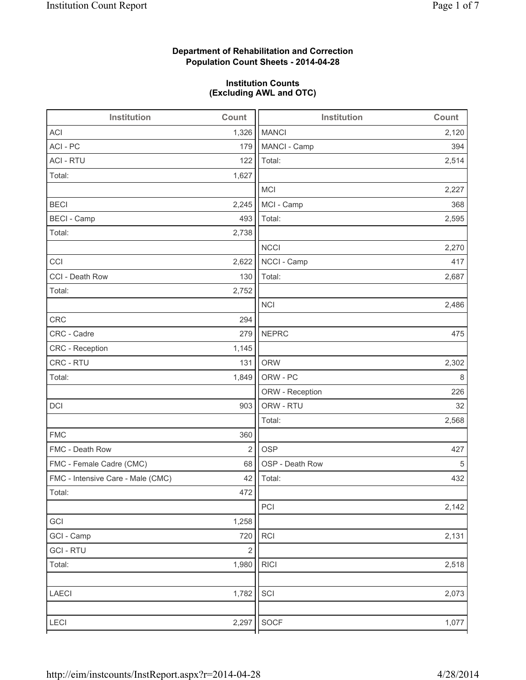## **Department of Rehabilitation and Correction Population Count Sheets - 2014-04-28**

## **Institution Counts (Excluding AWL and OTC)**

| Institution                       | Count          | Institution     | Count |
|-----------------------------------|----------------|-----------------|-------|
| <b>ACI</b>                        | 1,326          | <b>MANCI</b>    | 2,120 |
| ACI-PC                            | 179            | MANCI - Camp    | 394   |
| <b>ACI - RTU</b>                  | 122            | Total:          | 2,514 |
| Total:                            | 1,627          |                 |       |
|                                   |                | MCI             | 2,227 |
| <b>BECI</b>                       | 2,245          | MCI - Camp      | 368   |
| <b>BECI - Camp</b>                | 493            | Total:          | 2,595 |
| Total:                            | 2,738          |                 |       |
|                                   |                | <b>NCCI</b>     | 2,270 |
| CCI                               | 2,622          | NCCI - Camp     | 417   |
| CCI - Death Row                   | 130            | Total:          | 2,687 |
| Total:                            | 2,752          |                 |       |
|                                   |                | <b>NCI</b>      | 2,486 |
| CRC                               | 294            |                 |       |
| CRC - Cadre                       | 279            | <b>NEPRC</b>    | 475   |
| CRC - Reception                   | 1,145          |                 |       |
| CRC - RTU                         | 131            | <b>ORW</b>      | 2,302 |
| Total:                            | 1,849          | ORW - PC        | 8     |
|                                   |                | ORW - Reception | 226   |
| DCI                               | 903            | ORW - RTU       | 32    |
|                                   |                | Total:          | 2,568 |
| <b>FMC</b>                        | 360            |                 |       |
| FMC - Death Row                   | $\overline{2}$ | <b>OSP</b>      | 427   |
| FMC - Female Cadre (CMC)          | 68             | OSP - Death Row | 5     |
| FMC - Intensive Care - Male (CMC) | 42             | Total:          | 432   |
| Total:                            | 472            |                 |       |
|                                   |                | PCI             | 2,142 |
| GCI                               | 1,258          |                 |       |
| GCI - Camp                        | 720            | <b>RCI</b>      | 2,131 |
| <b>GCI-RTU</b>                    | $\sqrt{2}$     |                 |       |
| Total:                            | 1,980          | <b>RICI</b>     | 2,518 |
|                                   |                |                 |       |
| LAECI                             | 1,782          | SCI             | 2,073 |
|                                   |                |                 |       |
| LECI                              | 2,297          | SOCF            | 1,077 |
|                                   |                |                 |       |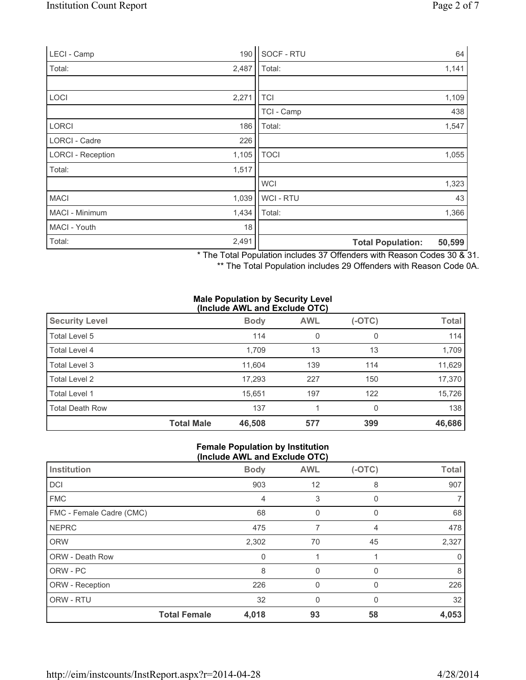| LECI - Camp              | 190   | SOCF - RTU               | 64     |
|--------------------------|-------|--------------------------|--------|
| Total:                   | 2,487 | Total:                   | 1,141  |
|                          |       |                          |        |
| LOCI                     | 2,271 | <b>TCI</b>               | 1,109  |
|                          |       | TCI - Camp               | 438    |
| LORCI                    | 186   | Total:                   | 1,547  |
| <b>LORCI - Cadre</b>     | 226   |                          |        |
| <b>LORCI - Reception</b> | 1,105 | <b>TOCI</b>              | 1,055  |
| Total:                   | 1,517 |                          |        |
|                          |       | <b>WCI</b>               | 1,323  |
| <b>MACI</b>              | 1,039 | <b>WCI-RTU</b>           | 43     |
| MACI - Minimum           | 1,434 | Total:                   | 1,366  |
| MACI - Youth             | 18    |                          |        |
| Total:                   | 2,491 | <b>Total Population:</b> | 50,599 |

\* The Total Population includes 37 Offenders with Reason Codes 30 & 31.

\*\* The Total Population includes 29 Offenders with Reason Code 0A.

#### **Male Population by Security Level (Include AWL and Exclude OTC)**

| <b>Security Level</b>  |                   | <b>Body</b> | <b>AWL</b> | $(-OTC)$ | Total  |  |
|------------------------|-------------------|-------------|------------|----------|--------|--|
| Total Level 5          |                   | 114         | 0          | 0        | 114    |  |
| Total Level 4          |                   | 1,709       | 13         | 13       | 1,709  |  |
| Total Level 3          |                   | 11,604      | 139        | 114      | 11,629 |  |
| Total Level 2          |                   | 17,293      | 227        | 150      | 17,370 |  |
| Total Level 1          |                   | 15,651      | 197        | 122      | 15,726 |  |
| <b>Total Death Row</b> |                   | 137         |            | $\Omega$ | 138    |  |
|                        | <b>Total Male</b> | 46,508      | 577        | 399      | 46,686 |  |

### **Female Population by Institution (Include AWL and Exclude OTC)**

| Institution              |                     | <b>Body</b> | <b>AWL</b>  | $(-OTC)$     | <b>Total</b> |
|--------------------------|---------------------|-------------|-------------|--------------|--------------|
| <b>DCI</b>               |                     | 903         | 12          | 8            | 907          |
| <b>FMC</b>               |                     | 4           | 3           | $\Omega$     |              |
| FMC - Female Cadre (CMC) |                     | 68          | 0           | 0            | 68           |
| <b>NEPRC</b>             |                     | 475         |             | 4            | 478          |
| <b>ORW</b>               |                     | 2,302       | 70          | 45           | 2,327        |
| <b>ORW - Death Row</b>   |                     | 0           |             |              |              |
| ORW - PC                 |                     | 8           | 0           | $\Omega$     | 8            |
| ORW - Reception          |                     | 226         | $\mathbf 0$ | $\mathbf{0}$ | 226          |
| ORW - RTU                |                     | 32          | 0           | $\Omega$     | 32           |
|                          | <b>Total Female</b> | 4,018       | 93          | 58           | 4,053        |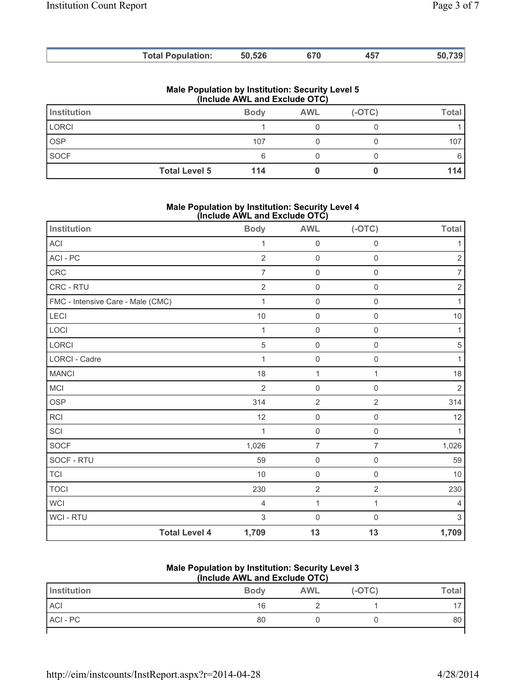|                    | <b>Total Population:</b>                                | 50,526                        | 670        | 457      | 50,739       |
|--------------------|---------------------------------------------------------|-------------------------------|------------|----------|--------------|
|                    | <b>Male Population by Institution: Security Level 5</b> | (Include AWL and Exclude OTC) |            |          |              |
| <b>Institution</b> |                                                         | <b>Body</b>                   | <b>AWL</b> | $(-OTC)$ | <b>Total</b> |
| <b>LORCI</b>       |                                                         |                               |            |          |              |
| <b>OSP</b>         |                                                         | 107                           |            |          | 107          |
| <b>SOCF</b>        |                                                         | 6                             |            |          | 6            |

## **Male Population by Institution: Security Level 4 (Include AWL and Exclude OTC)**

**Total Level 5 114 0 0 0 114** 

| Institution                       | <b>Body</b>    | <b>AWL</b>          | $(-OTC)$            | <b>Total</b>   |
|-----------------------------------|----------------|---------------------|---------------------|----------------|
| ACI                               | $\mathbf{1}$   | $\mathsf{O}\xspace$ | 0                   | 1              |
| ACI - PC                          | $\overline{2}$ | $\mathsf{O}\xspace$ | $\mathsf{O}\xspace$ | $\overline{2}$ |
| CRC                               | $\overline{7}$ | $\mathsf{O}\xspace$ | $\mathbf 0$         | 7              |
| <b>CRC - RTU</b>                  | $\overline{2}$ | $\mathsf{O}\xspace$ | $\mathsf{O}\xspace$ | $\sqrt{2}$     |
| FMC - Intensive Care - Male (CMC) | 1              | $\mathsf{O}\xspace$ | 0                   | 1              |
| LECI                              | 10             | $\mathsf{O}\xspace$ | $\mathbf 0$         | $10$           |
| LOCI                              | $\mathbf{1}$   | $\mathsf 0$         | $\mathsf{O}\xspace$ | $\mathbf{1}$   |
| LORCI                             | $\sqrt{5}$     | $\mathsf{O}\xspace$ | 0                   | 5              |
| <b>LORCI - Cadre</b>              | $\mathbf{1}$   | $\mathsf{O}\xspace$ | 0                   | $\mathbf{1}$   |
| <b>MANCI</b>                      | 18             | $\mathbf{1}$        | 1                   | 18             |
| MCI                               | $\overline{2}$ | $\mathsf{O}\xspace$ | 0                   | $\overline{2}$ |
| OSP                               | 314            | $\overline{2}$      | $\overline{2}$      | 314            |
| <b>RCI</b>                        | 12             | $\mathsf{O}\xspace$ | 0                   | 12             |
| SCI                               | $\mathbf{1}$   | $\mathsf 0$         | $\mathsf{O}\xspace$ | 1              |
| SOCF                              | 1,026          | $\overline{7}$      | $\overline{7}$      | 1,026          |
| SOCF - RTU                        | 59             | $\mathsf{O}\xspace$ | $\mathsf{O}\xspace$ | 59             |
| $\top$ Cl                         | 10             | $\mathsf{O}\xspace$ | 0                   | 10             |
| <b>TOCI</b>                       | 230            | $\sqrt{2}$          | $\overline{2}$      | 230            |
| <b>WCI</b>                        | 4              | $\mathbf{1}$        | $\mathbf{1}$        | $\overline{4}$ |
| WCI - RTU                         | 3              | $\mathsf{O}\xspace$ | $\mathsf{O}\xspace$ | $\mathsf 3$    |
| <b>Total Level 4</b>              | 1,709          | 13                  | 13                  | 1,709          |

### **Male Population by Institution: Security Level 3 (Include AWL and Exclude OTC)**

| Institution | <b>Body</b> | <b>AWL</b> | $(-OTC)$ | $\tau$ otal |
|-------------|-------------|------------|----------|-------------|
| <b>ACI</b>  | 16          |            |          |             |
| ACI - PC    | 80          |            |          | 80          |
|             |             |            |          |             |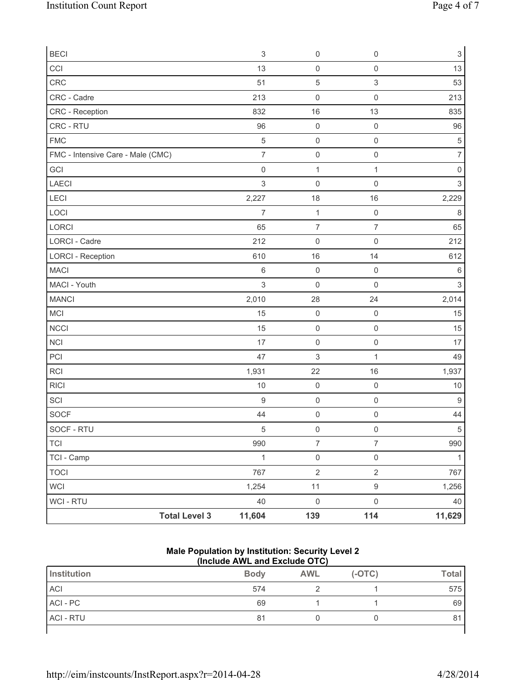| <b>BECI</b>                       | $\mathsf 3$         | $\mathsf 0$         | $\mathsf{O}\xspace$       | 3              |
|-----------------------------------|---------------------|---------------------|---------------------------|----------------|
| CCI                               | 13                  | $\mathsf{O}\xspace$ | $\mathsf 0$               | 13             |
| CRC                               | 51                  | 5                   | $\ensuremath{\mathsf{3}}$ | 53             |
| CRC - Cadre                       | 213                 | $\mathsf{O}\xspace$ | $\mathbf 0$               | 213            |
| CRC - Reception                   | 832                 | 16                  | 13                        | 835            |
| CRC - RTU                         | 96                  | $\mathsf 0$         | $\mathsf{O}\xspace$       | 96             |
| <b>FMC</b>                        | $\sqrt{5}$          | $\mathsf 0$         | $\mathsf 0$               | 5              |
| FMC - Intensive Care - Male (CMC) | $\overline{7}$      | $\mathsf{O}\xspace$ | $\mathsf{O}\xspace$       | $\overline{7}$ |
| GCI                               | $\mathsf{O}\xspace$ | $\mathbf{1}$        | $\mathbf{1}$              | 0              |
| <b>LAECI</b>                      | $\sqrt{3}$          | $\mathsf 0$         | 0                         | $\mathsf 3$    |
| LECI                              | 2,227               | 18                  | 16                        | 2,229          |
| LOCI                              | $\overline{7}$      | $\mathbf{1}$        | $\mathsf 0$               | 8              |
| LORCI                             | 65                  | $\overline{7}$      | $\overline{7}$            | 65             |
| LORCI - Cadre                     | 212                 | $\mathsf{O}\xspace$ | $\mathsf 0$               | 212            |
| <b>LORCI - Reception</b>          | 610                 | 16                  | 14                        | 612            |
| <b>MACI</b>                       | $\,6$               | $\mathsf 0$         | $\mathbf 0$               | 6              |
| MACI - Youth                      | 3                   | $\mathsf{O}\xspace$ | 0                         | 3              |
| <b>MANCI</b>                      | 2,010               | 28                  | 24                        | 2,014          |
| <b>MCI</b>                        | 15                  | $\mathsf{O}\xspace$ | $\mathsf 0$               | 15             |
| <b>NCCI</b>                       | 15                  | $\mathsf{O}\xspace$ | $\mathsf 0$               | 15             |
| NCI                               | 17                  | $\mathsf{O}\xspace$ | $\mathsf 0$               | 17             |
| PCI                               | 47                  | 3                   | 1                         | 49             |
| RCI                               | 1,931               | 22                  | 16                        | 1,937          |
| <b>RICI</b>                       | 10                  | $\mathsf{O}\xspace$ | $\mathsf 0$               | 10             |
| SCI                               | $\mathsf g$         | $\mathsf{O}\xspace$ | $\mathsf{O}\xspace$       | 9              |
| <b>SOCF</b>                       | 44                  | $\mathsf 0$         | 0                         | 44             |
| SOCF - RTU                        | $\sqrt{5}$          | $\mathsf{O}\xspace$ | $\mathsf{O}\xspace$       | 5              |
| TCI                               | 990                 | $\overline{7}$      | $\overline{7}$            | 990            |
| TCI - Camp                        | $\mathbf{1}$        | $\mathsf{O}\xspace$ | $\mathsf{O}\xspace$       | $\mathbf{1}$   |
| <b>TOCI</b>                       | 767                 | $\overline{2}$      | $\overline{2}$            | 767            |
| <b>WCI</b>                        | 1,254               | 11                  | $\boldsymbol{9}$          | 1,256          |
| WCI - RTU                         | 40                  | $\mathsf{O}\xspace$ | $\mathsf{O}\xspace$       | 40             |
| <b>Total Level 3</b>              | 11,604              | 139                 | 114                       | 11,629         |

### **Male Population by Institution: Security Level 2 (Include AWL and Exclude OTC)**

| Institution      | <b>Body</b> | <b>AWL</b> | $(-OTC)$ | <b>Total</b> |
|------------------|-------------|------------|----------|--------------|
| <b>ACI</b>       | 574         |            |          | 575          |
| ACI - PC         | 69          |            |          | 69           |
| <b>ACI - RTU</b> | 81          |            |          | 81           |
|                  |             |            |          |              |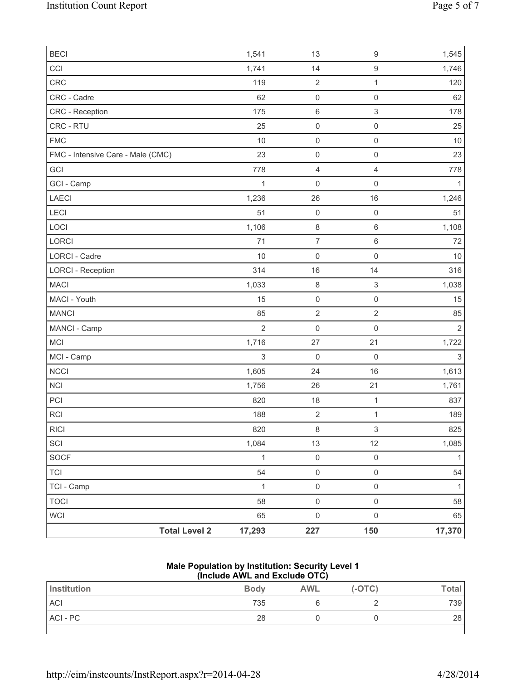| <b>BECI</b>                       |                      | 1,541          | 13                  | $\boldsymbol{9}$          | 1,545          |
|-----------------------------------|----------------------|----------------|---------------------|---------------------------|----------------|
| CCI                               |                      | 1,741          | 14                  | $\mathsf g$               | 1,746          |
| CRC                               |                      | 119            | $\overline{2}$      | $\mathbf{1}$              | 120            |
| CRC - Cadre                       |                      | 62             | $\mathsf{O}\xspace$ | $\mathsf{O}\xspace$       | 62             |
| CRC - Reception                   |                      | 175            | $\,6\,$             | $\ensuremath{\mathsf{3}}$ | 178            |
| CRC - RTU                         |                      | 25             | $\mathsf{O}\xspace$ | $\mathsf{O}\xspace$       | 25             |
| <b>FMC</b>                        |                      | 10             | $\mathsf{O}\xspace$ | $\mathsf{O}\xspace$       | $10$           |
| FMC - Intensive Care - Male (CMC) |                      | 23             | $\mathsf 0$         | $\mathsf{O}\xspace$       | 23             |
| GCI                               |                      | 778            | $\overline{4}$      | $\overline{4}$            | 778            |
| GCI - Camp                        |                      | $\mathbf 1$    | $\mathsf{O}\xspace$ | $\mathsf{O}\xspace$       | $\mathbf{1}$   |
| LAECI                             |                      | 1,236          | 26                  | 16                        | 1,246          |
| LECI                              |                      | 51             | $\mathsf 0$         | $\mathsf{O}\xspace$       | 51             |
| LOCI                              |                      | 1,106          | $\,8\,$             | 6                         | 1,108          |
| LORCI                             |                      | 71             | $\overline{7}$      | $\,6$                     | 72             |
| <b>LORCI - Cadre</b>              |                      | 10             | $\mathsf{O}\xspace$ | $\mathsf{O}\xspace$       | 10             |
| <b>LORCI - Reception</b>          |                      | 314            | 16                  | 14                        | 316            |
| <b>MACI</b>                       |                      | 1,033          | $\,8\,$             | $\ensuremath{\mathsf{3}}$ | 1,038          |
| MACI - Youth                      |                      | 15             | $\mathsf 0$         | $\mathsf{O}\xspace$       | 15             |
| <b>MANCI</b>                      |                      | 85             | $\overline{2}$      | $\sqrt{2}$                | 85             |
| MANCI - Camp                      |                      | $\overline{2}$ | $\mathsf{O}\xspace$ | $\mathsf{O}\xspace$       | $\overline{2}$ |
| MCI                               |                      | 1,716          | 27                  | 21                        | 1,722          |
| MCI - Camp                        |                      | 3              | $\mathsf{O}\xspace$ | $\mathsf{O}\xspace$       | $\sqrt{3}$     |
| NCCI                              |                      | 1,605          | 24                  | 16                        | 1,613          |
| NCI                               |                      | 1,756          | 26                  | 21                        | 1,761          |
| PCI                               |                      | 820            | 18                  | $\mathbf 1$               | 837            |
| <b>RCI</b>                        |                      | 188            | $\sqrt{2}$          | $\mathbf{1}$              | 189            |
| <b>RICI</b>                       |                      | 820            | $\,8\,$             | 3                         | 825            |
| SCI                               |                      | 1,084          | 13                  | 12                        | 1,085          |
| SOCF                              |                      | $\mathbf{1}$   | $\mathsf{O}\xspace$ | $\mathsf{O}\xspace$       | $\mathbf{1}$   |
| <b>TCI</b>                        |                      | 54             | $\mathsf{O}\xspace$ | $\mathsf{O}\xspace$       | 54             |
| TCI - Camp                        |                      | $\mathbf{1}$   | $\mathsf{O}\xspace$ | $\mathsf{O}\xspace$       | $\mathbf{1}$   |
| <b>TOCI</b>                       |                      | 58             | $\mathsf{O}\xspace$ | $\mathsf{O}\xspace$       | 58             |
| <b>WCI</b>                        |                      | 65             | $\mathsf{O}\xspace$ | $\mathsf{O}\xspace$       | 65             |
|                                   | <b>Total Level 2</b> | 17,293         | 227                 | 150                       | 17,370         |

## **Male Population by Institution: Security Level 1 (Include AWL and Exclude OTC)**

| Institution | <b>Body</b> | <b>AWL</b> | $(-OTC)$ | <b>Total</b> |
|-------------|-------------|------------|----------|--------------|
| <b>ACI</b>  | 735         |            |          | 739          |
| ACI - PC    | 28          |            |          | 28           |
|             |             |            |          |              |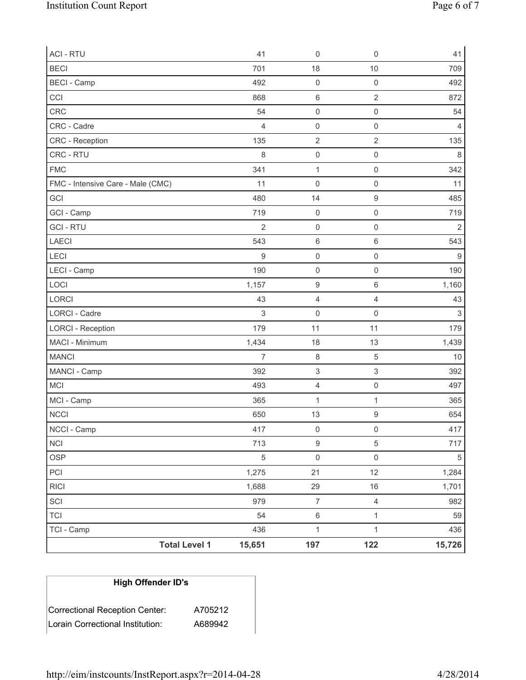| <b>ACI - RTU</b>                  | 41             | $\mathsf{O}\xspace$       | $\mathsf 0$               | 41               |
|-----------------------------------|----------------|---------------------------|---------------------------|------------------|
| <b>BECI</b>                       | 701            | 18                        | 10                        | 709              |
| <b>BECI</b> - Camp                | 492            | $\mathsf 0$               | $\mathbf 0$               | 492              |
| CCI                               | 868            | $\,6\,$                   | $\sqrt{2}$                | 872              |
| <b>CRC</b>                        | 54             | $\mathsf{O}\xspace$       | $\mathsf{O}\xspace$       | 54               |
| CRC - Cadre                       | $\overline{4}$ | $\mathsf{O}\xspace$       | $\mathsf 0$               | 4                |
| CRC - Reception                   | 135            | $\sqrt{2}$                | $\sqrt{2}$                | 135              |
| CRC - RTU                         | 8              | $\mathsf{O}\xspace$       | $\mathsf{O}\xspace$       | 8                |
| <b>FMC</b>                        | 341            | $\mathbf{1}$              | $\mathsf{O}\xspace$       | 342              |
| FMC - Intensive Care - Male (CMC) | 11             | $\mathsf{O}\xspace$       | $\mathsf{O}\xspace$       | 11               |
| GCI                               | 480            | 14                        | $\boldsymbol{9}$          | 485              |
| GCI - Camp                        | 719            | $\mathsf{O}\xspace$       | $\mathbf 0$               | 719              |
| <b>GCI-RTU</b>                    | $\overline{2}$ | $\mathsf 0$               | $\mathsf{O}\xspace$       | $\overline{2}$   |
| LAECI                             | 543            | $\,6\,$                   | $\,6\,$                   | 543              |
| LECI                              | $\hbox{9}$     | $\mathsf{O}\xspace$       | $\mathsf{O}\xspace$       | $\boldsymbol{9}$ |
| LECI - Camp                       | 190            | $\mathsf{O}\xspace$       | $\mathsf{O}\xspace$       | 190              |
| LOCI                              | 1,157          | $\hbox{9}$                | $\,6$                     | 1,160            |
| LORCI                             | 43             | 4                         | $\overline{4}$            | 43               |
| LORCI - Cadre                     | 3              | $\mathsf{O}\xspace$       | 0                         | $\mathsf 3$      |
| <b>LORCI - Reception</b>          | 179            | 11                        | 11                        | 179              |
| MACI - Minimum                    | 1,434          | 18                        | 13                        | 1,439            |
| <b>MANCI</b>                      | $\overline{7}$ | $\,8\,$                   | $\sqrt{5}$                | 10               |
| MANCI - Camp                      | 392            | $\ensuremath{\mathsf{3}}$ | $\ensuremath{\mathsf{3}}$ | 392              |
| MCI                               | 493            | $\overline{4}$            | $\mathsf{O}\xspace$       | 497              |
| MCI - Camp                        | 365            | 1                         | $\mathbf{1}$              | 365              |
| NCCI                              | 650            | 13                        | $\boldsymbol{9}$          | 654              |
| NCCI - Camp                       | 417            | $\mathsf{O}\xspace$       | $\mathsf{O}\xspace$       | 417              |
| $\sf NCI$                         | 713            | $\boldsymbol{9}$          | $\sqrt{5}$                | 717              |
| <b>OSP</b>                        | $\sqrt{5}$     | $\mathsf{O}\xspace$       | $\mathsf{O}\xspace$       | $\sqrt{5}$       |
| PCI                               | 1,275          | 21                        | 12                        | 1,284            |
| <b>RICI</b>                       | 1,688          | 29                        | $16$                      | 1,701            |
| SCI                               | 979            | $\boldsymbol{7}$          | $\overline{4}$            | 982              |
| <b>TCI</b>                        | 54             | $\,6\,$                   | $\mathbf{1}$              | 59               |
| TCI - Camp                        | 436            | $\mathbf{1}$              | $\mathbf{1}$              | 436              |
| <b>Total Level 1</b>              | 15,651         | 197                       | 122                       | 15,726           |

# **High Offender ID's**

| Correctional Reception Center:    | A705212 |
|-----------------------------------|---------|
| ∣Lorain Correctional Institution: | A689942 |